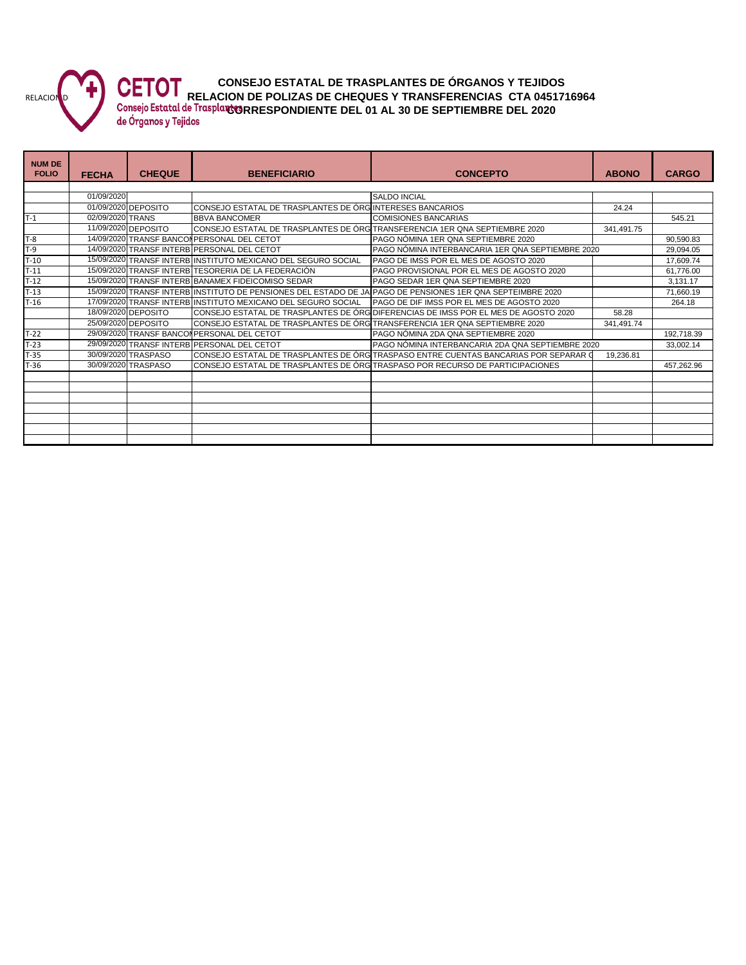

**CONSEJO ESTATAL DE TRASPLANTES DE ÓRGANOS Y TEJIDOS RELACION DE POLIZAS DE CHEQUES Y TRANSFERENCIAS CTA 0451716964**

Consejo Estatal de Trasplant<sub>e</sub> RRESPONDIENTE DEL 01 AL 30 DE SEPTIEMBRE DEL 2020

**NUM DE FOLIO FECHA CHEQUE BENEFICIARIO CONCEPTO ABONO CARGO** 01/09/2020 |<br>01/09/2020 | DEPOSITO | CONSEJO ESTATAL DE TRASPLANTES DE ÓRGINTERESES BANCARIOS 01/09/2020 CONSEJO ESTATAL DE TRASPLANTES DE ÓRGINTERESES BANCARIOS 24.24 The matrix of the development of the development of the development of the development of the development of the development of the development of the development of the state of the state of the state of the state of the 11/09/2020 CONSEJO ESTATAL DE TRASPLANTES DE ÓRG<sup>I</sup>TRANSFERENCIA 1ER QNA SEPTIEMBRE 20<br>1946 PERSONAL DEL CETOT T-8 14/09/2020 TRANSF BANCOMPERSONAL DEL CETOT PAGO NÓMINA 1ER QNA SEPTIEMBRE 2020 900,000 1000,590.83 T-9 14/09/2020 TRANSF INTERB PERSONAL DEL CETOT PAGO NÓMINA INTERBANCARIA 1ER QNA SEPTIEMBRE 2020 29,094.05 29,094.05<br>T-10 15/09/2020 TRANSF INTERB INSTITUTO MEXICANO DEL SEGURO SOCIAL PAGO DE IMSS POR EL MES DE AGOSTO 202 T-15/09/2020 TRANSF INTERB INSTITUTO MEXICANO DEL SEGURO SOCIAL PAGO DE IMSS POR EL MES DE AGOSTO 2020 17,009.74<br>15/09/2020 TRANSF INTERB TESORERIA DE LA FEDERACIÓN PAGO PROVISIONAL POR EL MES DE AGOSTO 2020 17,009.74 61.7 T-11 15/09/2020 TRANSF INTERB TESORERIA DE LA FEDERACIÓN PAGO PROVISIONAL POR EL MES DE AGOSTO 2020 61,776.00<br>T-12 15/09/2020 TRANSF INTERB BANAMEX FIDEICOMISO SEDAR PAGO SEDAR 1ER QNA SEPTIEMBRE 2020 1999 1999 1999 1991 T-12 15/09/2020 TRANSF INTERB BANAMEX FIDEICOMISO SEDAR PAGO SEDAR 1ER QNA SEPTIEMBRE 2020 1990 1990 1991.17 T-13 15/09/2020 TRANSF INTERB INSTITUTO DE PENSIONES DEL ESTADO DE JA PAGO DE PENSIONES 1ER QNA SEPTEIMBRE 2020<br>Tradicio 17/09/2020 TRANSF INTERB INSTITUTO MEXICANO DEL SEGURO SOCIAL PAGO DE DIF IMSS POR EL MES DE AGOSTO 2 17/09/2020 TRANSF INTERB INSTITUTO MEXICANO DEL SEGURO SOCIAL PAGO DE DIF IMSS POR EL MES DE AGOSTO 2020<br>18/09/2020 DEPOSITO CONSEJO ESTATAL DE TRASPLANTES DE ÓRG DIFERENCIAS DE IMSS POR EL MES DE AGOSTO 2 18/09/2020 DEPOSITO CONSEJO ESTATAL DE TRASPLANTES DE ÓRG DIFERENCIAS DE IMSS POR EL MES DE AGOSTO 2020 [658.28<br>25/09/2020 DEPOSITO CONSEJO ESTATAL DE TRASPLANTES DE ÓRG TRANSFERENCIA 1ER QNA SEPTIEMBRE 2020 [6541.491. 25/09/2020 DEPOSITO CONSEJO ESTATAL DE TRASPLANTES DE ÓRGANOS Y TEJIDOS TRANSFERENCIA 1ER QNA SEPTIEMBRE 2020 341,491.74 T-22 29/09/2020 TRANSF BANCOMPERSONAL DEL CETOT PAGO NÓMINA 2DA QNA SEPTIEMBRE 2020 2010 192,718.39<br>T-23 29/09/2020 TRANSF INTERB PERSONAL DEL CETOT PAGO NÓMINA INTERBANCARIA 2DA QNA SEPTIEMBRE 2020 33,002.14 T-23 29/09/2020 TRANSF INTERB PERSONAL DEL CETOT PAGO NÓMINA INTERBANCARIA 2DA QNA SEPTIEMBRE 2020 33,002.14 T-35 30/09/2020 TRASPASO CONSEJO ESTATAL DE TRASPLANTES DE ÓRGANOS Y TEJIDOS TRASPASO ENTRE CUENTAS BANCARIAS POR SEPARAR GASTOS DE RECURSO ESTATAL DEL FEDERAL 19,236.81 T-36 30/09/2020 TRASPASO CONSEJO ESTATAL DE TRASPLANTES DE ÓRGANOS Y TEJIDOS TRASPASO POR RECURSO DE PARTICIPACIONES 457,262.96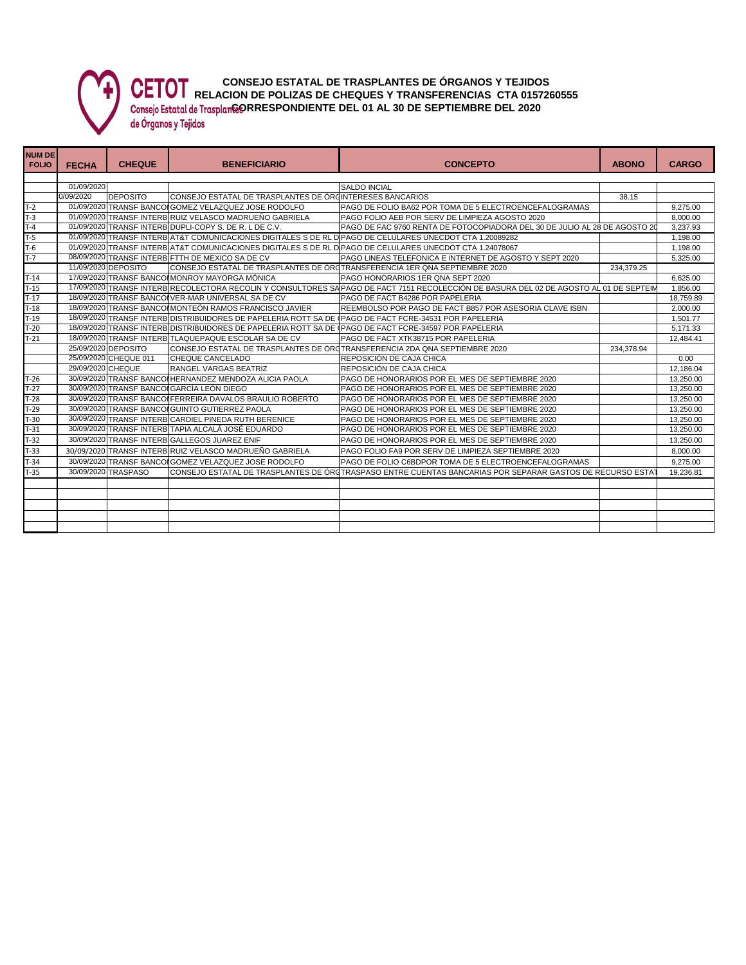

T-32 30/09/2020 TRANSF INTERB GALLEGOS JUAREZ ENIF

**CONSEJO ESTATAL DE TRASPLANTES DE ÓRGANOS Y TEJIDOS CETOT** CONSEJO ESTATAL DE TRANSFERICIAS CTA 0157260555 Consejo Estatal de Trasplan**@ORRESPONDIENTE DEL 01 AL 30 DE SEPTIEMBRE DEL 2020** 

29/09/2020 CHEQUE RANGEL VARGAS BEATRIZ REPOSICIÓN DE CAJA CHICA 12,186.04

**NUM DE FOLIO FECHA CHEQUE BENEFICIARIO CONCEPTO ABONO CARGO** 01/09/2020 SALDO INCIAL<br>1/09/2020 DEPOSITO CONSEJO ESTATAL DE TRASPLANTES DE ÓRGINTERESES B. 0/09/2020 DEPOSITO CONSEJO ESTATAL DE TRASPLANTES DE ÓRGANOS Y TEJIDOS INTERESES BANCARIOS 38.15 01/09/2020 TRANSF BANCO GOMEZ VELAZQUEZ JOSE RODOLFO PAGO DE FOLIO BA62 POR TOMA DE 5 ELECTROENCEFALOGRAMAS 9,275.00 T-3 01/09/2020 TRANSF INTERB RUIZ VELASCO MADRUEÑO GABRIELA PAGO FOLIO AEB POR SERV DE LIMPIEZA AGOSTO 2020<br>T-4 01/09/2020 TRANSF INTERB DUPLI-COPY S. DE R. L DE C.V. PAGO DE FAC 9760 RENTA DE FOTOCOPIADORA DEL 30 DE JULIO PAGO DE FAC 9760 RENTA DE FOTOCOPIADORA DEL 30 DE JULIO AL 28 DE AGOSTO 20 3,237.93<br>PAGO DE CELULARES UNECDOT CTA 1.20089282 T-5 01/09/2020 TRANSF INTERB AT&T COMUNICACIONES DIGITALES S DE RL D PAGO DE CELULARES UNECDOT CTA 1.20089282<br>The composition of the composition of the comunicaciones digitales s de rl d pago de celulares unecdot cta 1.240 01/09/2020 TRANSF INTERB AT&T COMUNICACIONES DIGITALES S DE RL DE PAGO DE CELULARES UNECDOT CTA 1.24078067 1,<br>06/09/2020 TRANSF INTERB FTTH DE MEXICO SA DE CV PAGO LINEAS TELEFONICA E INTERNET DE AGO T-7 08/09/2020 TRANSF INTERB FTTH DE MEXICO SA DE CV PAGO LINEAS TELEFONICA E INTERNET DE AGOSTO Y SEPT 2020 5,325.00<br>11/09/2020 DEPOSITO CONSEJO ESTATAL DE TRASPLANTES DE ÓRQTRANSFERENCIA 1ER QNA SEPTIEMBRE 2020 234,379.2 TRANSFERENCIA 1ER QNA SEPTIEMBRE 2020 T-14 17/09/2020 TRANSF BANCO MONROY MAYORGA MÓNICA PAGO HONORARIOS 1ER QNA SEPT 2020<br>T-15 17/09/2020 TRANSF INTERBIRECOLECTORA RECOLIN Y CONSULTORES SAPAGO DE FACT 7151 RECOLECCIÓN DE BASURA DEL 02 DE AGOSTO AL 01 DE SEPTE PAGO DE FACT 7151 RECOLECCIÓN DE BASURA DEL 02 DE AGOSTO AL 01 DE SEPTEI T-17 18/09/2020 TRANSF BANCO VER-MAR UNIVERSAL SA DE CV PAGO DE FACT B4286 POR PAPELERIA POR ASESORIA CLAVE ISBN 18,759.89<br>T-18 18/09/2020 TRANSF BANCO MONTEÓN RAMOS FRANCISCO JAVIER REEMBOLSO POR PAGO DE FACT B857 POR ASE T-18 18 18/09/2020 TRANSF BANCO DE FACT BAST POR ASESORIA CLAVE ISBN 2,000.00<br>PAGO DE FACT FCRE-34531 POR PAPELERIA T-19 18/09/2020 TRANSF INTERB DISTRIBUIDORES DE PAPELERIA ROTT SA DE (PAGO DE FACT FCRE-34531 POR PAPELERIA 1,501.77<br>-20 18/09/2020 TRANSF INTERB DISTRIBUIDORES DE PAPELERIA ROTT SA DE (PAGO DE FACT FCRE-34597 POR PAPELERI TRANSF INTERB DISTRIBUIDORES DE PAPELERIA ROTT SA DE T-21 18/09/2020 TRANSF INTERB TLAQUEPAQUE ESCOLAR SA DE CV PAGO DE FACT XTK38715 POR PAPELERIA 12,484.41 12,484.41<br>25/09/2020 DEPOSITO CONSEJO ESTATAL DE TRASPLANTES DE ÓRCTRANSFERENCIA 2DA QNA SEPTIEMBRE 2020 234.378.94 2 25/09/2020 DEPOSITO CONSEJO ESTATAL DE TRASPLANTES DE ÓRGANOS Y TEJIDOS TRANSFERENCIA 2DA QNA SEPTIEMBRE 2020 234,378.94 25/09/2020 CHEQUE 011 CHEQUE CANCELADO REPOSICIÓN DE CAJA CHICA (29/09/2020 CHEQUE 010 0.00 0.00 PEROSICIÓN DE CAJA CHICA 0.00<br>29/09/2020 CHEQUE RANGEL VARGAS BEATRIZ REPOSICIÓN DE CAJA CHICA (29/09/2020 CHEQUE 12,186.

T-26 30/09/2020 TRANSF BANCO HERNANDEZ MENDOZA ALICIA PAOLA PAGO DE HONORARIOS POR EL MES DE SEPTIEMBRE 2020 20<br>-27 30/09/2020 TRANSF BANCO GARCÍA LEÓN DIEGO PAGO DE HONORARIOS POR EL MES DE SEPTIEMBRE 2020 1997 13,250.00 T-27 30/09/2020 TRANSF BANCO GARCÍA LEÓN DIEGO PAGO DE HONORARIOS POR EL MES DE SEPTIEMBRE 2020 | 13,250.00 T-28 30/09/2020 TRANSF BANCO FERREIRA DAVALOS BRAULIO ROBERTO PAGO DE HONORARIOS POR EL MES DE SEPTIEMBRE 2020 13,250.00 T-29 30/09/2020 TRANSF BANCO GUINTO GUTIERREZ PAOLA PAGO DE HONORARIOS POR EL MES DE SEPTIEMBRE 2020 1999 13,250.00<br>T-30 30/09/2020 TRANSF INTERBICARDIEL PINEDA RUTH BERENICE PAGO DE HONORARIOS POR EL MES DE SEPTIEMBRE 202 T-30 30/09/2020 TRANSF INTERB CARDIEL PINEDA RUTH BERENICE PAGO DE HONORARIOS POR EL MES DE SEPTIEMBRE 2020 13,250.00 T-31 30/09/2020 TRANSF INTERB TAPIA ALCALÁ JOSÉ EDUARDO PAGO DE HONORARIOS POR EL MES DE SEPTIEMBRE 2020 1997 13,250.00<br>2009/2020 TRANSF INTERB GALLEGOS JUAREZ ENIFMERE PAGO DE HONORARIOS POR EL MES DE SEPTIEMBRE 2020

T-33 30/09/2020 TRANSF INTERB RUIZ VELASCO MADRUEÑO GABRIELA PAGO FOLIO FA9 POR SERV DE LIMPIEZA SEPTIEMBRE 2020 8,000.00 T-34 30/09/2020 TRANSF BANCO GOMEZ VELAZQUEZ JOSE RODOLFO PAGO DE FOLIO C6BDPOR TOMA DE 5 ELECTROENCEFALOGRAMAS PRESERVED A 275.00 T-35 30/09/2020 TRASPASO CONSEJO ESTATAL DE TRASPLANTES DE ÓRGTRASPASO ENTRE CUENTAS BANCARIAS POR SEPARAR GASTOS DE RECURSO ESTAT 19,236.81